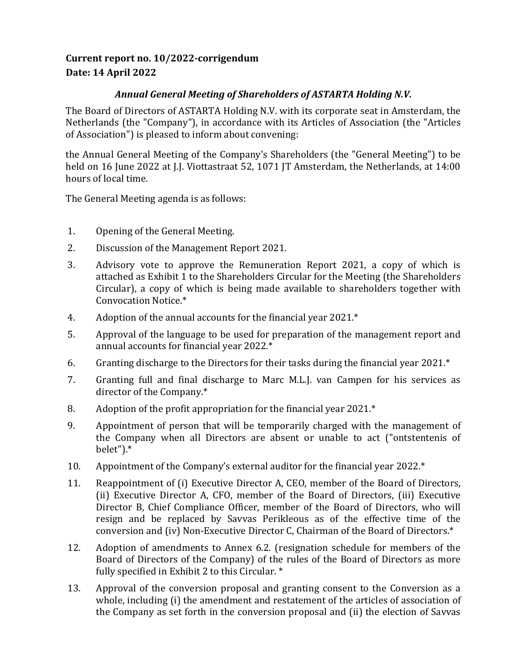## **Current report no. 10/2022-corrigendum Date: 14 April 2022**

## *Annual General Meeting of Shareholders of ASTARTA Holding N.V.*

The Board of Directors of ASTARTA Holding N.V. with its corporate seat in Amsterdam, the Netherlands (the "Company"), in accordance with its Articles of Association (the "Articles of Association") is pleased to inform about convening:

the Annual General Meeting of the Company's Shareholders (the "General Meeting") to be held on 16 June 2022 at J.J. Viottastraat 52, 1071 JT Amsterdam, the Netherlands, at 14:00 hours of local time.

The General Meeting agenda is as follows:

- 1. Opening of the General Meeting.
- 2. Discussion of the Management Report 2021.
- 3. Advisory vote to approve the Remuneration Report 2021, a copy of which is attached as Exhibit 1 to the Shareholders Circular for the Meeting (the Shareholders Circular), a copy of which is being made available to shareholders together with Convocation Notice.\*
- 4. Adoption of the annual accounts for the financial year 2021.\*
- 5. Approval of the language to be used for preparation of the management report and annual accounts for financial year 2022.\*
- 6. Granting discharge to the Directors for their tasks during the financial year 2021.\*
- 7. Granting full and final discharge to Marc M.L.J. van Campen for his services as director of the Company.\*
- 8. Adoption of the profit appropriation for the financial year 2021.\*
- 9. Appointment of person that will be temporarily charged with the management of the Company when all Directors are absent or unable to act ("ontstentenis of belet").\*
- 10. Appointment of the Company's external auditor for the financial year 2022.\*
- 11. Reappointment of (i) Executive Director A, CEO, member of the Board of Directors, (ii) Executive Director A, CFO, member of the Board of Directors, (iii) Executive Director B, Chief Compliance Officer, member of the Board of Directors, who will resign and be replaced by Savvas Perikleous as of the effective time of the conversion and (iv) Non-Executive Director C, Chairman of the Board of Directors.\*
- 12. Adoption of amendments to Annex 6.2. (resignation schedule for members of the Board of Directors of the Company) of the rules of the Board of Directors as more fully specified in Exhibit 2 to this Circular. \*
- 13. Approval of the conversion proposal and granting consent to the Conversion as a whole, including (i) the amendment and restatement of the articles of association of the Company as set forth in the conversion proposal and (ii) the election of Savvas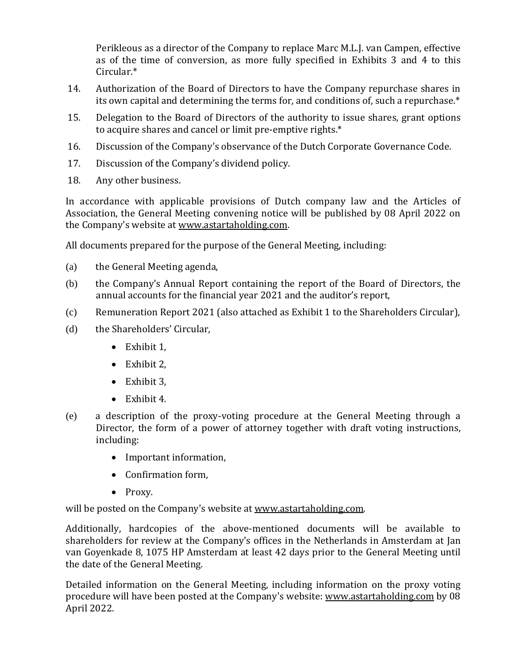Perikleous as a director of the Company to replace Marc M.L.J. van Campen, effective as of the time of conversion, as more fully specified in Exhibits 3 and 4 to this Circular.\*

- 14. Authorization of the Board of Directors to have the Company repurchase shares in its own capital and determining the terms for, and conditions of, such a repurchase.\*
- 15. Delegation to the Board of Directors of the authority to issue shares, grant options to acquire shares and cancel or limit pre-emptive rights.\*
- 16. Discussion of the Company's observance of the Dutch Corporate Governance Code.
- 17. Discussion of the Company's dividend policy.
- 18. Any other business.

In accordance with applicable provisions of Dutch company law and the Articles of Association, the General Meeting convening notice will be published by 08 April 2022 on the Company's website at [www.astartaholding.com.](http://www.astartaholding.com/)

All documents prepared for the purpose of the General Meeting, including:

- (a) the General Meeting agenda,
- (b) the Company's Annual Report containing the report of the Board of Directors, the annual accounts for the financial year 2021 and the auditor's report,
- (c) Remuneration Report 2021 (also attached as Exhibit 1 to the Shareholders Circular),
- (d) the Shareholders' Circular,
	- Exhibit 1.
	- Exhibit 2,
	- Exhibit 3,
	- Exhibit 4.
- (e) a description of the proxy-voting procedure at the General Meeting through a Director, the form of a power of attorney together with draft voting instructions, including:
	- Important information,
	- Confirmation form,
	- Proxy.

will be posted on the Company's website a[t www.astartaholding.com.](http://www.astartaholding.com/)

Additionally, hardcopies of the above-mentioned documents will be available to shareholders for review at the Company's offices in the Netherlands in Amsterdam at Jan van Goyenkade 8, 1075 HP Amsterdam at least 42 days prior to the General Meeting until the date of the General Meeting.

Detailed information on the General Meeting, including information on the proxy voting procedure will have been posted at the Company's website: [www.astartaholding.com](http://www.astartaholding.com/) by 08 April 2022.